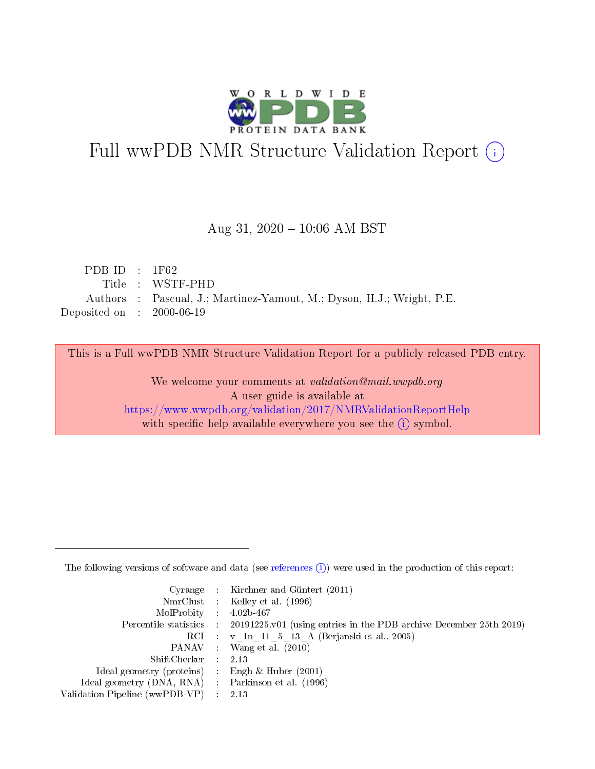

# Full wwPDB NMR Structure Validation Report (i)

### Aug 31, 2020 - 10:06 AM BST

| PDB ID : $1F62$                      |                                                                       |
|--------------------------------------|-----------------------------------------------------------------------|
|                                      | Title : WSTF-PHD                                                      |
|                                      | Authors : Pascual, J.; Martinez-Yamout, M.; Dyson, H.J.; Wright, P.E. |
| Deposited on $\therefore$ 2000-06-19 |                                                                       |

This is a Full wwPDB NMR Structure Validation Report for a publicly released PDB entry.

We welcome your comments at validation@mail.wwpdb.org A user guide is available at <https://www.wwpdb.org/validation/2017/NMRValidationReportHelp> with specific help available everywhere you see the  $(i)$  symbol.

The following versions of software and data (see [references](https://www.wwpdb.org/validation/2017/NMRValidationReportHelp#references)  $(1)$ ) were used in the production of this report:

|                                                    |                  | Cyrange : Kirchner and Güntert $(2011)$                                                    |
|----------------------------------------------------|------------------|--------------------------------------------------------------------------------------------|
|                                                    |                  | NmrClust : Kelley et al. (1996)                                                            |
| $MolProbability$ 4.02b-467                         |                  |                                                                                            |
|                                                    |                  | Percentile statistics : 20191225.v01 (using entries in the PDB archive December 25th 2019) |
|                                                    |                  | RCI : v 1n 11 5 13 A (Berjanski et al., 2005)                                              |
|                                                    |                  | PANAV Wang et al. (2010)                                                                   |
| ShiftChecker 2.13                                  |                  |                                                                                            |
| Ideal geometry (proteins) : Engh $\&$ Huber (2001) |                  |                                                                                            |
| Ideal geometry (DNA, RNA) Parkinson et al. (1996)  |                  |                                                                                            |
| Validation Pipeline (wwPDB-VP)                     | $\sim 10^{11}$ m | 2.13                                                                                       |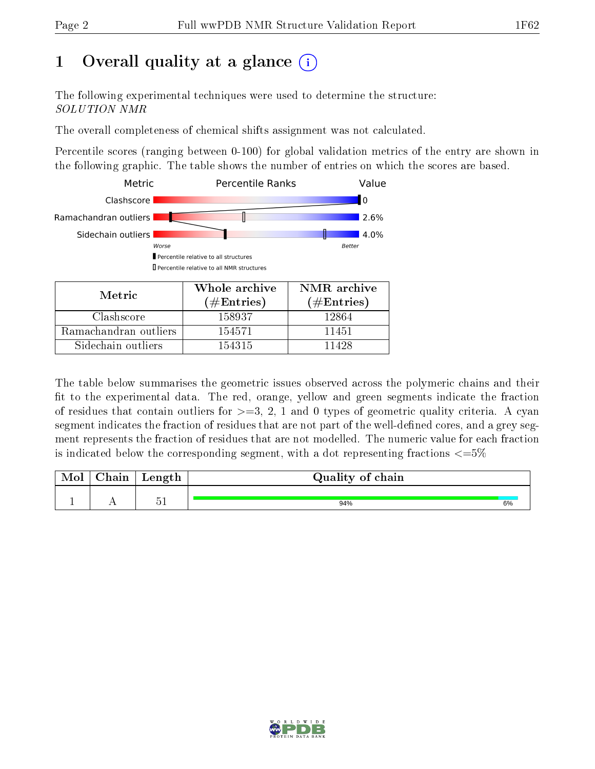## 1 [O](https://www.wwpdb.org/validation/2017/NMRValidationReportHelp#overall_quality)verall quality at a glance (i)

The following experimental techniques were used to determine the structure: SOLUTION NMR

The overall completeness of chemical shifts assignment was not calculated.

Percentile scores (ranging between 0-100) for global validation metrics of the entry are shown in the following graphic. The table shows the number of entries on which the scores are based.



The table below summarises the geometric issues observed across the polymeric chains and their fit to the experimental data. The red, orange, yellow and green segments indicate the fraction of residues that contain outliers for  $>=3, 2, 1$  and 0 types of geometric quality criteria. A cyan segment indicates the fraction of residues that are not part of the well-defined cores, and a grey segment represents the fraction of residues that are not modelled. The numeric value for each fraction is indicated below the corresponding segment, with a dot representing fractions  $\epsilon = 5\%$ 

| <b>NIOI</b> | ${\rm Chain}$ | Length | Quality of chain |    |
|-------------|---------------|--------|------------------|----|
|             |               | ۳.,    | 94%              | 6% |

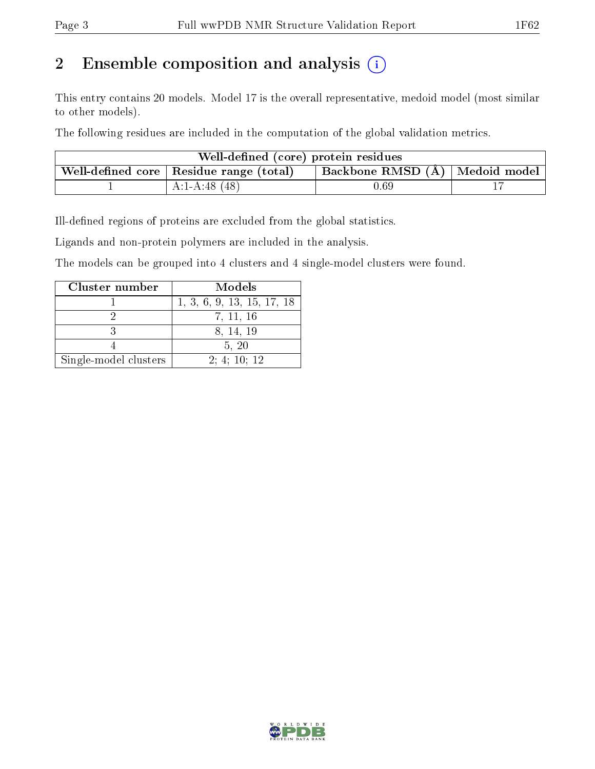## 2 Ensemble composition and analysis  $(i)$

This entry contains 20 models. Model 17 is the overall representative, medoid model (most similar to other models).

The following residues are included in the computation of the global validation metrics.

| Well-defined (core) protein residues                                            |                |          |  |  |  |  |
|---------------------------------------------------------------------------------|----------------|----------|--|--|--|--|
| Backbone RMSD (Å)   Medoid model  <br>Well-defined core   Residue range (total) |                |          |  |  |  |  |
|                                                                                 | $A:1-A:48(48)$ | $0.69\,$ |  |  |  |  |

Ill-defined regions of proteins are excluded from the global statistics.

Ligands and non-protein polymers are included in the analysis.

The models can be grouped into 4 clusters and 4 single-model clusters were found.

| Cluster number        | Models                     |
|-----------------------|----------------------------|
|                       | 1, 3, 6, 9, 13, 15, 17, 18 |
|                       | 7, 11, 16                  |
|                       | 8, 14, 19                  |
|                       | 5, 20                      |
| Single-model clusters | 2; 4; 10; 12               |

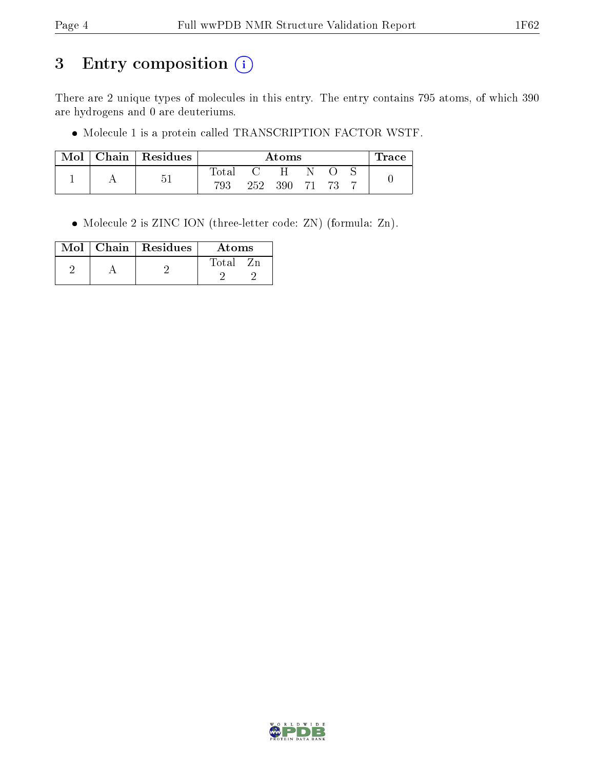## 3 Entry composition (i)

There are 2 unique types of molecules in this entry. The entry contains 795 atoms, of which 390 are hydrogens and 0 are deuteriums.

 $\bullet$  Molecule 1 is a protein called TRANSCRIPTION FACTOR WSTF.

| Mol | Chain   Residues | Atoms |               |     |  |  | $\operatorname{Trace}$ |  |
|-----|------------------|-------|---------------|-----|--|--|------------------------|--|
|     | 'n               | Total |               | H   |  |  |                        |  |
|     |                  | 793   | $252^{\circ}$ | 390 |  |  |                        |  |

Molecule 2 is ZINC ION (three-letter code: ZN) (formula: Zn).

|  | $Mol$   Chain   Residues | Atoms |
|--|--------------------------|-------|
|  |                          | Total |
|  |                          |       |

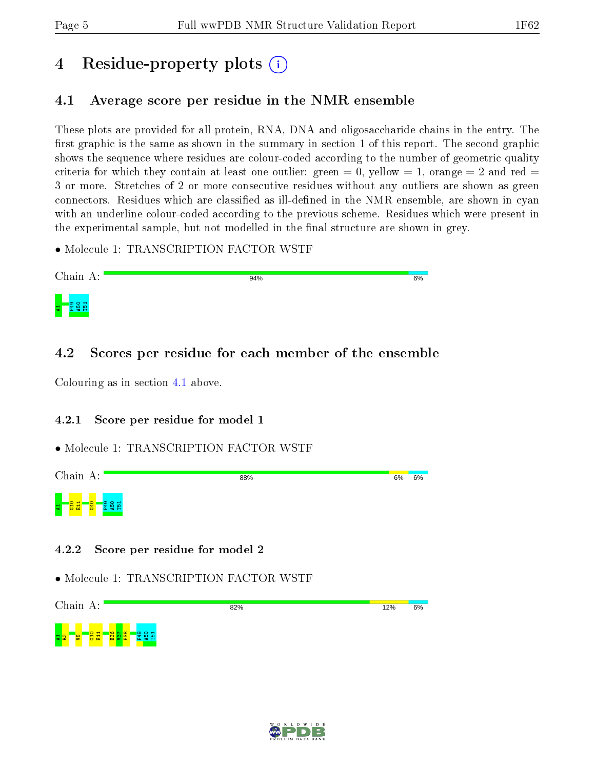## 4 Residue-property plots  $\binom{1}{1}$

### <span id="page-4-0"></span>4.1 Average score per residue in the NMR ensemble

These plots are provided for all protein, RNA, DNA and oligosaccharide chains in the entry. The first graphic is the same as shown in the summary in section 1 of this report. The second graphic shows the sequence where residues are colour-coded according to the number of geometric quality criteria for which they contain at least one outlier: green  $= 0$ , yellow  $= 1$ , orange  $= 2$  and red  $=$ 3 or more. Stretches of 2 or more consecutive residues without any outliers are shown as green connectors. Residues which are classified as ill-defined in the NMR ensemble, are shown in cyan with an underline colour-coded according to the previous scheme. Residues which were present in the experimental sample, but not modelled in the final structure are shown in grey.

• Molecule 1: TRANSCRIPTION FACTOR WSTF



### 4.2 Scores per residue for each member of the ensemble

Colouring as in section [4.1](#page-4-0) above.

### 4.2.1 Score per residue for model 1

### • Molecule 1: TRANSCRIPTION FACTOR WSTF



### 4.2.2 Score per residue for model 2

• Molecule 1: TRANSCRIPTION FACTOR WSTF

Chain A: 82%  $12%$  $6%$ <sub>되 않</sub> 그 <mark>e 그</mark> 용 급  $\frac{8}{2}$  $\overline{\mathbb{S}}$  $\frac{8}{2}$  $\frac{9}{2}$  $\frac{50}{4}$ T51

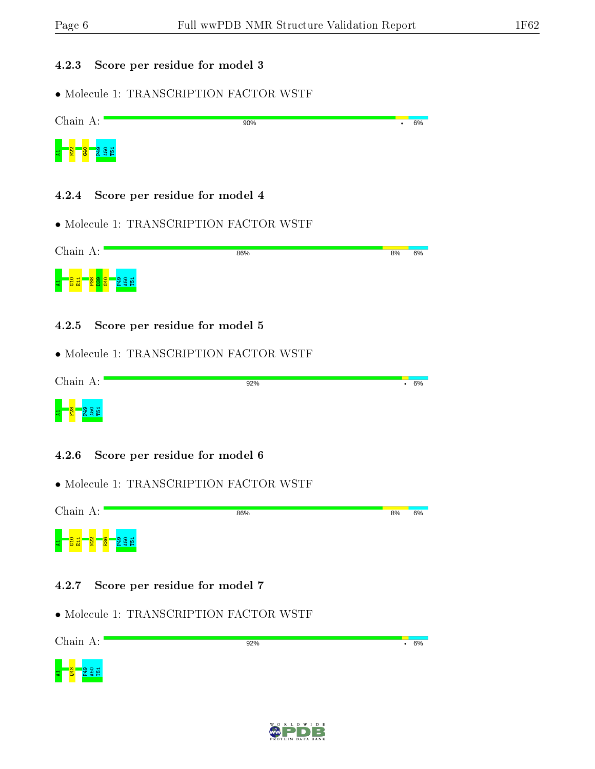#### 4.2.3 Score per residue for model 3



- 4.2.4 Score per residue for model 4
- Molecule 1: TRANSCRIPTION FACTOR WSTF

| Chain A:                                                   | 86% | 8% | 6% |
|------------------------------------------------------------|-----|----|----|
| S <br><b>co</b><br><b>P</b><br>$\bullet$<br><b>PA</b><br>ా |     |    |    |

- 4.2.5 Score per residue for model 5
- Molecule 1: TRANSCRIPTION FACTOR WSTF

| Chain A:                                    | 92% | 6%<br>٠ |
|---------------------------------------------|-----|---------|
| $\infty$<br>$\circ$ $\cdot$<br>ക<br>불<br>Ē. |     |         |

- 4.2.6 Score per residue for model 6
- Molecule 1: TRANSCRIPTION FACTOR WSTF



- 4.2.7 Score per residue for model 7
- Molecule 1: TRANSCRIPTION FACTOR WSTF



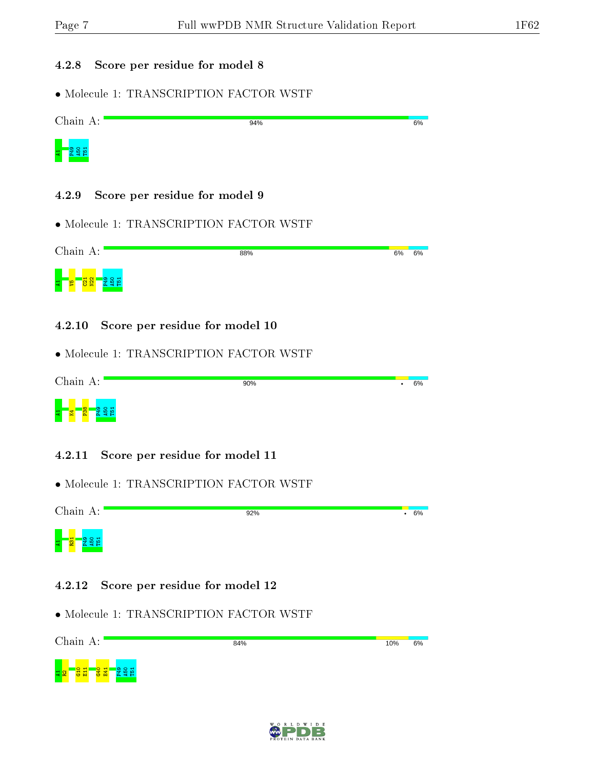#### 4.2.8 Score per residue for model 8

• Molecule 1: TRANSCRIPTION FACTOR WSTF



• Molecule 1: TRANSCRIPTION FACTOR WSTF

| Chain A:          | 88% | 6% | 6% |
|-------------------|-----|----|----|
| <u>'로 연</u><br>62 |     |    |    |

4.2.10 Score per residue for model 10

• Molecule 1: TRANSCRIPTION FACTOR WSTF

|   | Chain A:       |  | 90% | 6% |
|---|----------------|--|-----|----|
| E | $\infty$<br>ы. |  |     |    |

- 4.2.11 Score per residue for model 11
- Molecule 1: TRANSCRIPTION FACTOR WSTF

Chain A: 92%  $\cdot$  6% a <mark>– S</mark> – S 8 R

#### 4.2.12 Score per residue for model 12



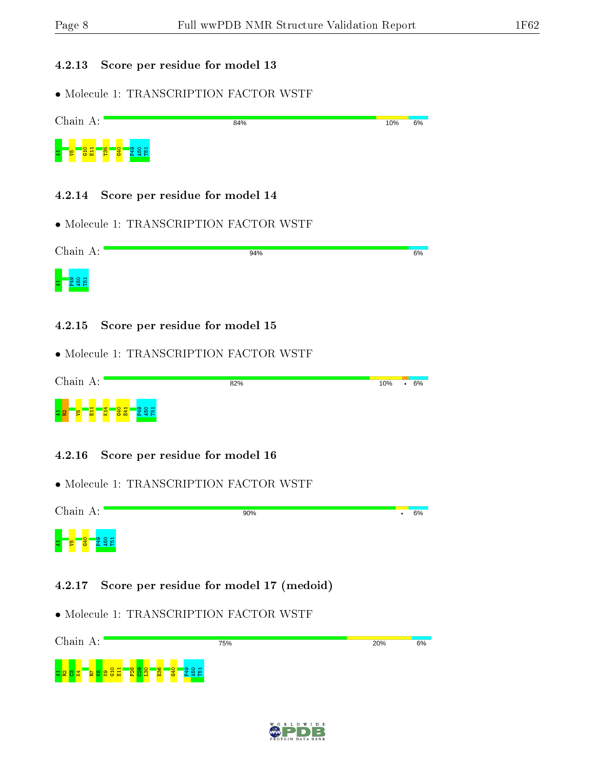### 4.2.13 Score per residue for model 13

• Molecule 1: TRANSCRIPTION FACTOR WSTF

| Chain A:        | 84%                                   | 10% | 6% |
|-----------------|---------------------------------------|-----|----|
| <mark>용료</mark> | - <mark>χ - ξ :</mark>                |     |    |
|                 | 4.2.14 Score per residue for model 14 |     |    |

• Molecule 1: TRANSCRIPTION FACTOR WSTF

| Chain A: | 94% | 6% |
|----------|-----|----|
|          |     |    |

- 4.2.15 Score per residue for model 15
- Molecule 1: TRANSCRIPTION FACTOR WSTF

| Chain A:                    |                | 82% |  | 10% | 6% |
|-----------------------------|----------------|-----|--|-----|----|
| H<br>$\mathbf{a}$<br>호<br>囩 | '유.<br>/景<br>ш |     |  |     |    |

- 4.2.16 Score per residue for model 16
- Molecule 1: TRANSCRIPTION FACTOR WSTF



#### 4.2.17 Score per residue for model 17 (medoid)



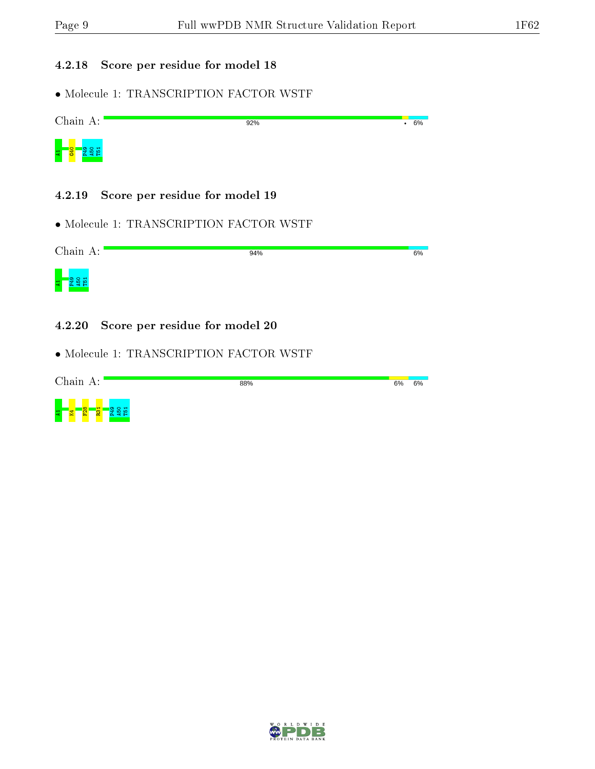#### 4.2.18 Score per residue for model 18



- 4.2.19 Score per residue for model 19
- Molecule 1: TRANSCRIPTION FACTOR WSTF

| Chain A: | 94% | 6% |
|----------|-----|----|
|          |     |    |

- 4.2.20 Score per residue for model 20
- Molecule 1: TRANSCRIPTION FACTOR WSTF



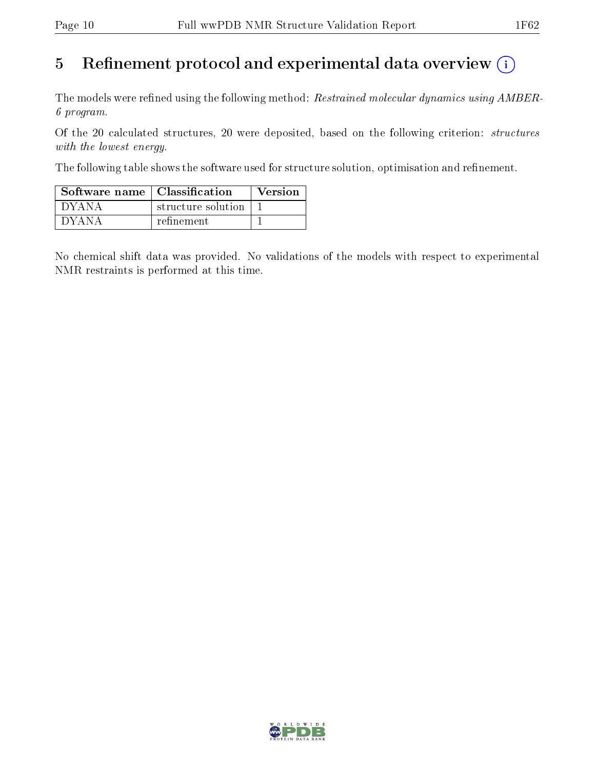### 5 Refinement protocol and experimental data overview  $\binom{1}{k}$

The models were refined using the following method: Restrained molecular dynamics using AMBER-6 program.

Of the 20 calculated structures, 20 were deposited, based on the following criterion: structures with the lowest energy.

The following table shows the software used for structure solution, optimisation and refinement.

| Software name   Classification |                    | <b>Version</b> |
|--------------------------------|--------------------|----------------|
| ' DYANA                        | structure solution |                |
| - DYANA                        | refinement.        |                |

No chemical shift data was provided. No validations of the models with respect to experimental NMR restraints is performed at this time.

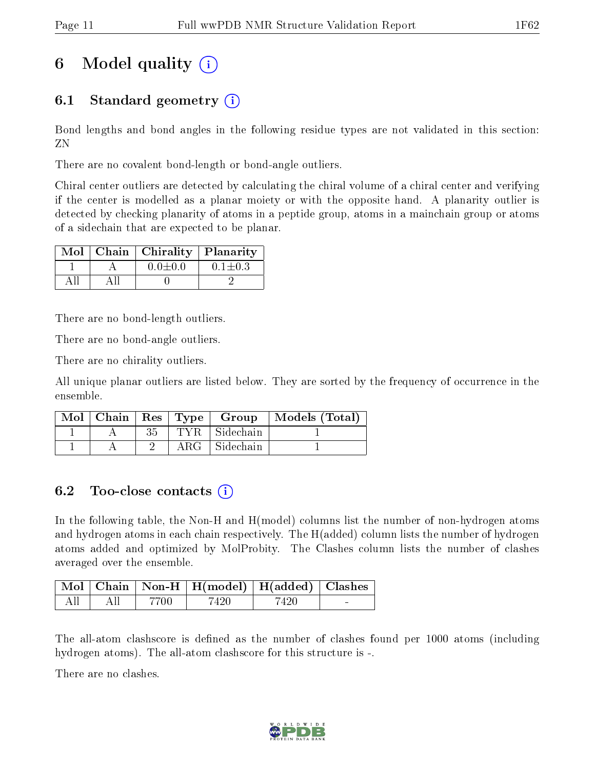## 6 Model quality  $(i)$

### 6.1 Standard geometry  $(i)$

Bond lengths and bond angles in the following residue types are not validated in this section: ZN

There are no covalent bond-length or bond-angle outliers.

Chiral center outliers are detected by calculating the chiral volume of a chiral center and verifying if the center is modelled as a planar moiety or with the opposite hand. A planarity outlier is detected by checking planarity of atoms in a peptide group, atoms in a mainchain group or atoms of a sidechain that are expected to be planar.

|  | Mol   Chain   Chirality   Planarity |               |
|--|-------------------------------------|---------------|
|  | $0.0 \pm 0.0$                       | $0.1 \pm 0.3$ |
|  |                                     |               |

There are no bond-length outliers.

There are no bond-angle outliers.

There are no chirality outliers.

All unique planar outliers are listed below. They are sorted by the frequency of occurrence in the ensemble.

|  |    |                      | Mol   Chain   Res   Type   Group   Models (Total) |
|--|----|----------------------|---------------------------------------------------|
|  | 35 | TYR Sidechain        |                                                   |
|  |    | $ARG \mid Sidechain$ |                                                   |

### 6.2 Too-close contacts  $(i)$

In the following table, the Non-H and H(model) columns list the number of non-hydrogen atoms and hydrogen atoms in each chain respectively. The H(added) column lists the number of hydrogen atoms added and optimized by MolProbity. The Clashes column lists the number of clashes averaged over the ensemble.

|     |         |        | Mol   Chain   Non-H   H(model)   H(added)   Clashes |       |        |
|-----|---------|--------|-----------------------------------------------------|-------|--------|
| All | - All - | - 7700 | 7420                                                | -7420 | $\sim$ |

The all-atom clashscore is defined as the number of clashes found per 1000 atoms (including hydrogen atoms). The all-atom clashscore for this structure is -.

There are no clashes.

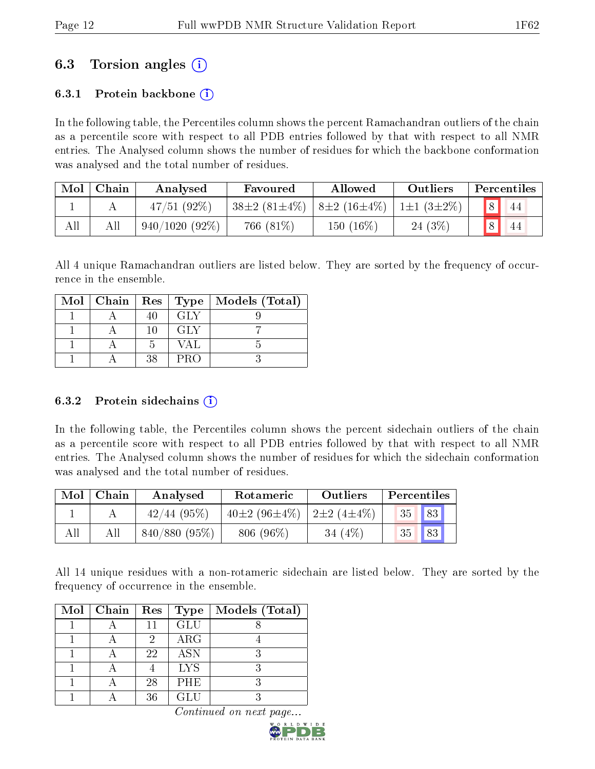### 6.3 Torsion angles (i)

### 6.3.1 Protein backbone  $(i)$

In the following table, the Percentiles column shows the percent Ramachandran outliers of the chain as a percentile score with respect to all PDB entries followed by that with respect to all NMR entries. The Analysed column shows the number of residues for which the backbone conformation was analysed and the total number of residues.

| Mol | Chain | Analysed         | Favoured                               | Allowed   |                           | Percentiles |     |  |
|-----|-------|------------------|----------------------------------------|-----------|---------------------------|-------------|-----|--|
|     |       | 47/51(92%)       | $38\pm2(81\pm4\%)$   $8\pm2(16\pm4\%)$ |           | $\pm 1 \pm 1 (3 \pm 2\%)$ |             | -44 |  |
| All |       | $940/1020(92\%)$ | 766 (81%)                              | 150 (16%) | 24 (3%)                   |             | 44  |  |

All 4 unique Ramachandran outliers are listed below. They are sorted by the frequency of occurrence in the ensemble.

|  |    |      | Mol   Chain   Res   Type   Models (Total) |
|--|----|------|-------------------------------------------|
|  |    | GLY  |                                           |
|  | 10 | GL V |                                           |
|  |    | VAL. |                                           |
|  | 38 | PRO  |                                           |

### 6.3.2 Protein sidechains (i)

In the following table, the Percentiles column shows the percent sidechain outliers of the chain as a percentile score with respect to all PDB entries followed by that with respect to all NMR entries. The Analysed column shows the number of residues for which the sidechain conformation was analysed and the total number of residues.

| Mol | Chain | Analysed        | Rotameric          | Outliers                | Percentiles |            |  |
|-----|-------|-----------------|--------------------|-------------------------|-------------|------------|--|
|     |       | $42/44$ (95%)   | $10\pm2(96\pm4\%)$ | $2\pm 2$ (4 $\pm 4\%$ ) | 35 83       |            |  |
| All | Аll   | $840/880(95\%)$ | $806(96\%)$        | 34 $(4\%)$              | 35          | $\vert$ 83 |  |

All 14 unique residues with a non-rotameric sidechain are listed below. They are sorted by the frequency of occurrence in the ensemble.

| $Mol$   Chain | $\operatorname{Res}$ | <b>Type</b> | Models (Total) |
|---------------|----------------------|-------------|----------------|
|               | 11                   | <b>GLU</b>  |                |
|               | 9                    | ARG         |                |
|               | 22                   | <b>ASN</b>  |                |
|               |                      | <b>LYS</b>  |                |
|               | 28                   | <b>PHE</b>  |                |
|               | 36                   | GL H        |                |

Continued on next page.

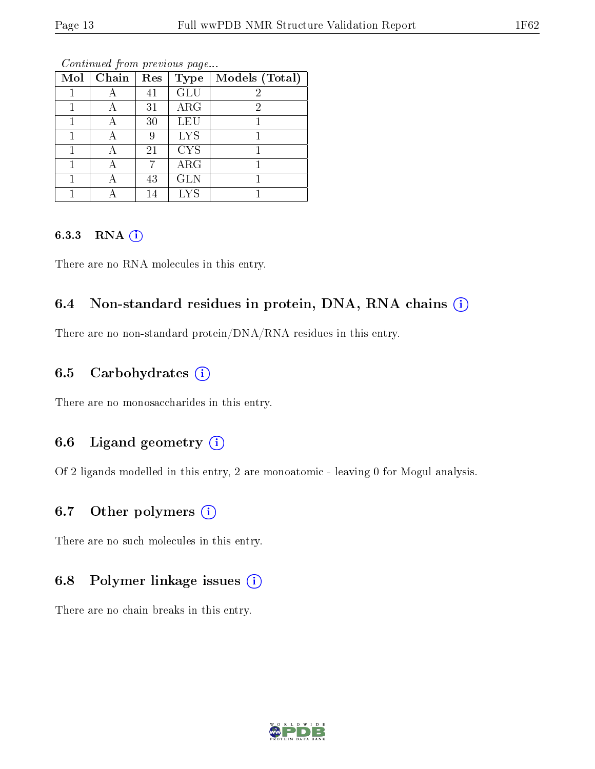| Mol | Chain | Res | <b>Type</b> | Models (Total) |
|-----|-------|-----|-------------|----------------|
|     |       | 41  | <b>GLU</b>  | 2              |
|     |       | 31  | ARG         | 2              |
|     |       | 30  | <b>LEU</b>  |                |
|     |       | 9   | <b>LYS</b>  |                |
|     |       | 21  | <b>CYS</b>  |                |
|     |       |     | $\rm{ARG}$  |                |
|     |       | 43  | <b>GLN</b>  |                |
|     |       | 14  | LYS         |                |

Continued from previous page...

#### 6.3.3 RNA [O](https://www.wwpdb.org/validation/2017/NMRValidationReportHelp#rna)i

There are no RNA molecules in this entry.

### 6.4 Non-standard residues in protein, DNA, RNA chains  $(i)$

There are no non-standard protein/DNA/RNA residues in this entry.

### 6.5 Carbohydrates  $(i)$

There are no monosaccharides in this entry.

### 6.6 Ligand geometry  $(i)$

Of 2 ligands modelled in this entry, 2 are monoatomic - leaving 0 for Mogul analysis.

### 6.7 [O](https://www.wwpdb.org/validation/2017/NMRValidationReportHelp#nonstandard_residues_and_ligands)ther polymers  $(i)$

There are no such molecules in this entry.

### 6.8 Polymer linkage issues  $(i)$

There are no chain breaks in this entry.